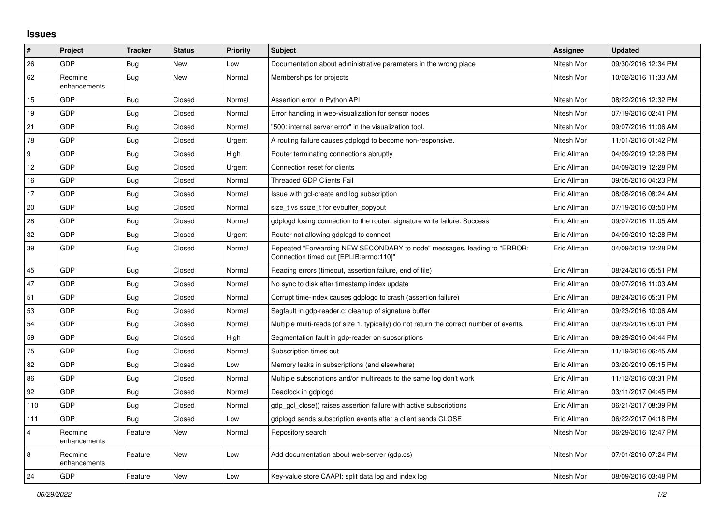## **Issues**

| #              | Project                 | <b>Tracker</b> | <b>Status</b> | Priority | <b>Subject</b>                                                                                                      | Assignee    | <b>Updated</b>      |
|----------------|-------------------------|----------------|---------------|----------|---------------------------------------------------------------------------------------------------------------------|-------------|---------------------|
| 26             | <b>GDP</b>              | <b>Bug</b>     | New           | Low      | Documentation about administrative parameters in the wrong place                                                    | Nitesh Mor  | 09/30/2016 12:34 PM |
| 62             | Redmine<br>enhancements | Bug            | <b>New</b>    | Normal   | Memberships for projects                                                                                            | Nitesh Mor  | 10/02/2016 11:33 AM |
| 15             | GDP                     | <b>Bug</b>     | Closed        | Normal   | Assertion error in Python API                                                                                       | Nitesh Mor  | 08/22/2016 12:32 PM |
| 19             | <b>GDP</b>              | <b>Bug</b>     | Closed        | Normal   | Error handling in web-visualization for sensor nodes                                                                | Nitesh Mor  | 07/19/2016 02:41 PM |
| 21             | <b>GDP</b>              | <b>Bug</b>     | Closed        | Normal   | "500: internal server error" in the visualization tool.                                                             | Nitesh Mor  | 09/07/2016 11:06 AM |
| 78             | <b>GDP</b>              | <b>Bug</b>     | Closed        | Urgent   | A routing failure causes gdplogd to become non-responsive.                                                          | Nitesh Mor  | 11/01/2016 01:42 PM |
| 9              | <b>GDP</b>              | <b>Bug</b>     | Closed        | High     | Router terminating connections abruptly                                                                             | Eric Allman | 04/09/2019 12:28 PM |
| 12             | <b>GDP</b>              | <b>Bug</b>     | Closed        | Urgent   | Connection reset for clients                                                                                        | Eric Allman | 04/09/2019 12:28 PM |
| 16             | <b>GDP</b>              | <b>Bug</b>     | Closed        | Normal   | <b>Threaded GDP Clients Fail</b>                                                                                    | Eric Allman | 09/05/2016 04:23 PM |
| 17             | <b>GDP</b>              | Bug            | Closed        | Normal   | Issue with gcl-create and log subscription                                                                          | Eric Allman | 08/08/2016 08:24 AM |
| 20             | <b>GDP</b>              | Bug            | Closed        | Normal   | size t vs ssize t for evbuffer copyout                                                                              | Eric Allman | 07/19/2016 03:50 PM |
| 28             | <b>GDP</b>              | Bug            | Closed        | Normal   | gdplogd losing connection to the router, signature write failure: Success                                           | Eric Allman | 09/07/2016 11:05 AM |
| 32             | GDP                     | Bug            | Closed        | Urgent   | Router not allowing gdplogd to connect                                                                              | Eric Allman | 04/09/2019 12:28 PM |
| 39             | <b>GDP</b>              | Bug            | Closed        | Normal   | Repeated "Forwarding NEW SECONDARY to node" messages, leading to "ERROR:<br>Connection timed out [EPLIB:errno:110]" | Eric Allman | 04/09/2019 12:28 PM |
| 45             | <b>GDP</b>              | <b>Bug</b>     | Closed        | Normal   | Reading errors (timeout, assertion failure, end of file)                                                            | Eric Allman | 08/24/2016 05:51 PM |
| 47             | <b>GDP</b>              | <b>Bug</b>     | Closed        | Normal   | No sync to disk after timestamp index update                                                                        | Eric Allman | 09/07/2016 11:03 AM |
| 51             | <b>GDP</b>              | Bug            | Closed        | Normal   | Corrupt time-index causes gdplogd to crash (assertion failure)                                                      | Eric Allman | 08/24/2016 05:31 PM |
| 53             | <b>GDP</b>              | <b>Bug</b>     | Closed        | Normal   | Segfault in gdp-reader.c; cleanup of signature buffer                                                               | Eric Allman | 09/23/2016 10:06 AM |
| 54             | <b>GDP</b>              | Bug            | Closed        | Normal   | Multiple multi-reads (of size 1, typically) do not return the correct number of events.                             | Eric Allman | 09/29/2016 05:01 PM |
| 59             | <b>GDP</b>              | Bug            | Closed        | High     | Segmentation fault in gdp-reader on subscriptions                                                                   | Eric Allman | 09/29/2016 04:44 PM |
| 75             | <b>GDP</b>              | <b>Bug</b>     | Closed        | Normal   | Subscription times out                                                                                              | Eric Allman | 11/19/2016 06:45 AM |
| 82             | <b>GDP</b>              | Bug            | Closed        | Low      | Memory leaks in subscriptions (and elsewhere)                                                                       | Eric Allman | 03/20/2019 05:15 PM |
| 86             | <b>GDP</b>              | Bug            | Closed        | Normal   | Multiple subscriptions and/or multireads to the same log don't work                                                 | Eric Allman | 11/12/2016 03:31 PM |
| 92             | <b>GDP</b>              | Bug            | Closed        | Normal   | Deadlock in gdplogd                                                                                                 | Eric Allman | 03/11/2017 04:45 PM |
| 110            | <b>GDP</b>              | Bug            | Closed        | Normal   | gdp gcl close() raises assertion failure with active subscriptions                                                  | Eric Allman | 06/21/2017 08:39 PM |
| 111            | GDP                     | <b>Bug</b>     | Closed        | Low      | gdplogd sends subscription events after a client sends CLOSE                                                        | Eric Allman | 06/22/2017 04:18 PM |
| $\overline{4}$ | Redmine<br>enhancements | Feature        | New           | Normal   | Repository search                                                                                                   | Nitesh Mor  | 06/29/2016 12:47 PM |
| 8              | Redmine<br>enhancements | Feature        | New           | Low      | Add documentation about web-server (gdp.cs)                                                                         | Nitesh Mor  | 07/01/2016 07:24 PM |
| 24             | <b>GDP</b>              | Feature        | <b>New</b>    | Low      | Key-value store CAAPI: split data log and index log                                                                 | Nitesh Mor  | 08/09/2016 03:48 PM |